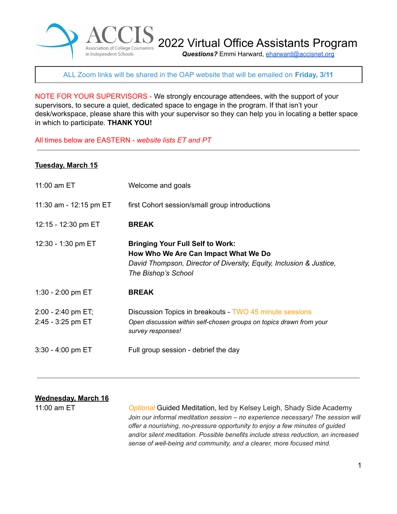

2022 Virtual Office Assistants Program

*Questions?* Emmi Harward, [eharward@accisnet.org](mailto:eharward@accisnet.org)

ALL Zoom links will be shared in the OAP website that will be emailed on **Friday, 3/11**

NOTE FOR YOUR SUPERVISORS - We strongly encourage attendees, with the support of your supervisors, to secure a quiet, dedicated space to engage in the program. If that isn't your desk/workspace, please share this with your supervisor so they can help you in locating a better space in which to participate. **THANK YOU!**

All times below are EASTERN - *website lists ET and PT*

#### **Tuesday, March 15**

| 11:00 am ET                                 | Welcome and goals                                                                                                                                                             |
|---------------------------------------------|-------------------------------------------------------------------------------------------------------------------------------------------------------------------------------|
| 11:30 am - 12:15 pm $ET$                    | first Cohort session/small group introductions                                                                                                                                |
| 12:15 - 12:30 pm ET                         | <b>BREAK</b>                                                                                                                                                                  |
| 12:30 - 1:30 pm ET                          | <b>Bringing Your Full Self to Work:</b><br>How Who We Are Can Impact What We Do<br>David Thompson, Director of Diversity, Equity, Inclusion & Justice,<br>The Bishop's School |
| 1:30 - 2:00 pm $ET$                         | <b>BREAK</b>                                                                                                                                                                  |
| $2:00 - 2:40$ pm ET;<br>$2:45 - 3:25$ pm ET | Discussion Topics in breakouts - TWO 45 minute sessions<br>Open discussion within self-chosen groups on topics drawn from your<br>survey responses!                           |
| $3:30 - 4:00$ pm ET                         | Full group session - debrief the day                                                                                                                                          |

#### **Wednesday, March 16**

11:00 am ET *Optional* Guided Meditation, led by Kelsey Leigh, Shady Side Academy *Join our informal meditation session – no experience necessary! The session will offer a nourishing, no-pressure opportunity to enjoy a few minutes of guided and/or silent meditation. Possible benefits include stress reduction, an increased sense of well-being and community, and a clearer, more focused mind.*